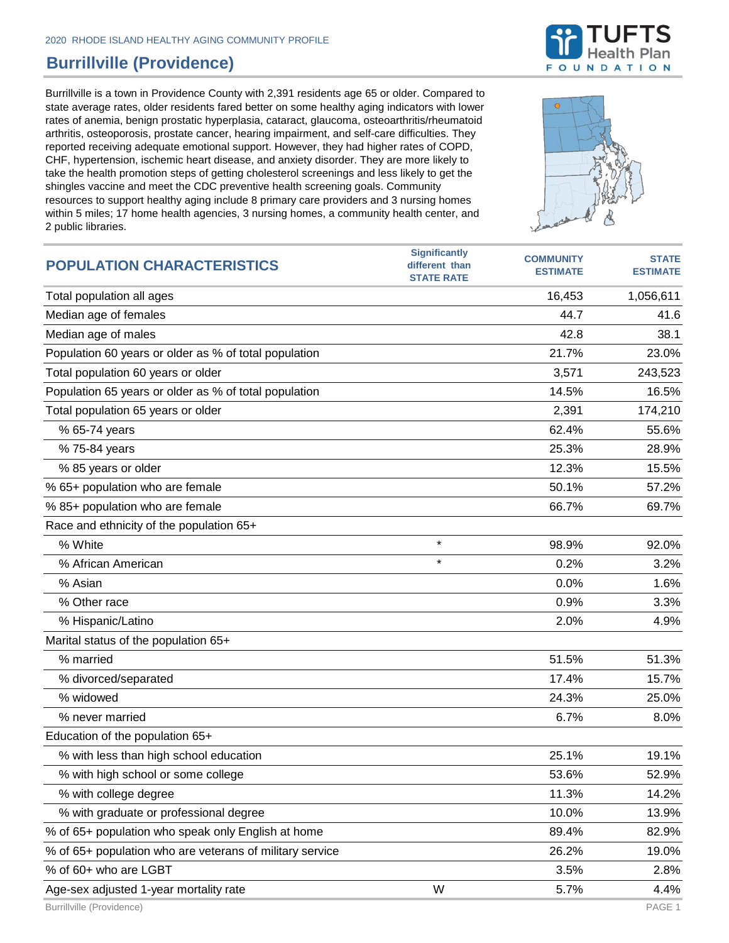## **Burrillville (Providence)**

Burrillville is a town in Providence County with 2,391 residents age 65 or older. Compared to state average rates, older residents fared better on some healthy aging indicators with lower rates of anemia, benign prostatic hyperplasia, cataract, glaucoma, osteoarthritis/rheumatoid arthritis, osteoporosis, prostate cancer, hearing impairment, and self-care difficulties. They reported receiving adequate emotional support. However, they had higher rates of COPD, CHF, hypertension, ischemic heart disease, and anxiety disorder. They are more likely to take the health promotion steps of getting cholesterol screenings and less likely to get the shingles vaccine and meet the CDC preventive health screening goals. Community resources to support healthy aging include 8 primary care providers and 3 nursing homes within 5 miles; 17 home health agencies, 3 nursing homes, a community health center, and 2 public libraries.





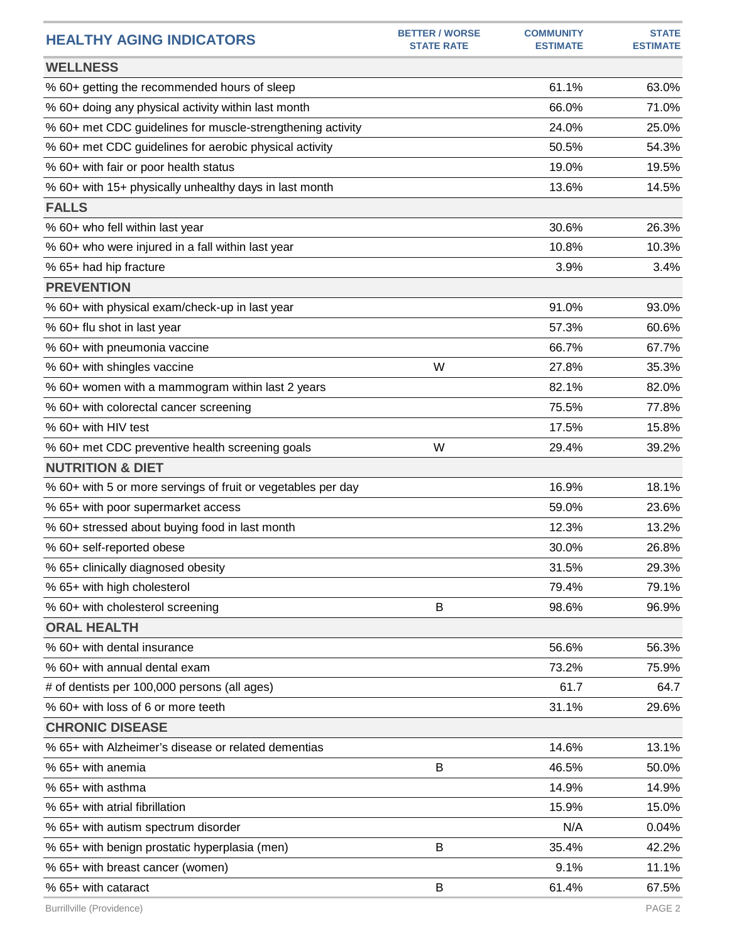| <b>HEALTHY AGING INDICATORS</b>                              | <b>BETTER / WORSE</b><br><b>STATE RATE</b> | <b>COMMUNITY</b><br><b>ESTIMATE</b> | <b>STATE</b><br><b>ESTIMATE</b> |
|--------------------------------------------------------------|--------------------------------------------|-------------------------------------|---------------------------------|
| <b>WELLNESS</b>                                              |                                            |                                     |                                 |
| % 60+ getting the recommended hours of sleep                 |                                            | 61.1%                               | 63.0%                           |
| % 60+ doing any physical activity within last month          |                                            | 66.0%                               | 71.0%                           |
| % 60+ met CDC guidelines for muscle-strengthening activity   |                                            | 24.0%                               | 25.0%                           |
| % 60+ met CDC guidelines for aerobic physical activity       |                                            | 50.5%                               | 54.3%                           |
| % 60+ with fair or poor health status                        |                                            | 19.0%                               | 19.5%                           |
| % 60+ with 15+ physically unhealthy days in last month       |                                            | 13.6%                               | 14.5%                           |
| <b>FALLS</b>                                                 |                                            |                                     |                                 |
| % 60+ who fell within last year                              |                                            | 30.6%                               | 26.3%                           |
| % 60+ who were injured in a fall within last year            |                                            | 10.8%                               | 10.3%                           |
| % 65+ had hip fracture                                       |                                            | 3.9%                                | 3.4%                            |
| <b>PREVENTION</b>                                            |                                            |                                     |                                 |
| % 60+ with physical exam/check-up in last year               |                                            | 91.0%                               | 93.0%                           |
| % 60+ flu shot in last year                                  |                                            | 57.3%                               | 60.6%                           |
| % 60+ with pneumonia vaccine                                 |                                            | 66.7%                               | 67.7%                           |
| % 60+ with shingles vaccine                                  | W                                          | 27.8%                               | 35.3%                           |
| % 60+ women with a mammogram within last 2 years             |                                            | 82.1%                               | 82.0%                           |
| % 60+ with colorectal cancer screening                       |                                            | 75.5%                               | 77.8%                           |
| % 60+ with HIV test                                          |                                            | 17.5%                               | 15.8%                           |
| % 60+ met CDC preventive health screening goals              | W                                          | 29.4%                               | 39.2%                           |
| <b>NUTRITION &amp; DIET</b>                                  |                                            |                                     |                                 |
| % 60+ with 5 or more servings of fruit or vegetables per day |                                            | 16.9%                               | 18.1%                           |
| % 65+ with poor supermarket access                           |                                            | 59.0%                               | 23.6%                           |
| % 60+ stressed about buying food in last month               |                                            | 12.3%                               | 13.2%                           |
| % 60+ self-reported obese                                    |                                            | 30.0%                               | 26.8%                           |
| % 65+ clinically diagnosed obesity                           |                                            | 31.5%                               | 29.3%                           |
| % 65+ with high cholesterol                                  |                                            | 79.4%                               | 79.1%                           |
| % 60+ with cholesterol screening                             | B                                          | 98.6%                               | 96.9%                           |
| <b>ORAL HEALTH</b>                                           |                                            |                                     |                                 |
| % 60+ with dental insurance                                  |                                            | 56.6%                               | 56.3%                           |
| % 60+ with annual dental exam                                |                                            | 73.2%                               | 75.9%                           |
| # of dentists per 100,000 persons (all ages)                 |                                            | 61.7                                | 64.7                            |
| % 60+ with loss of 6 or more teeth                           |                                            | 31.1%                               | 29.6%                           |
| <b>CHRONIC DISEASE</b>                                       |                                            |                                     |                                 |
| % 65+ with Alzheimer's disease or related dementias          |                                            | 14.6%                               | 13.1%                           |
| % 65+ with anemia                                            | B                                          | 46.5%                               | 50.0%                           |
| % 65+ with asthma                                            |                                            | 14.9%                               | 14.9%                           |
| % 65+ with atrial fibrillation                               |                                            | 15.9%                               | 15.0%                           |
| % 65+ with autism spectrum disorder                          |                                            | N/A                                 | 0.04%                           |
| % 65+ with benign prostatic hyperplasia (men)                | B                                          | 35.4%                               | 42.2%                           |
| % 65+ with breast cancer (women)                             |                                            | 9.1%                                | 11.1%                           |
| % 65+ with cataract                                          | B                                          | 61.4%                               | 67.5%                           |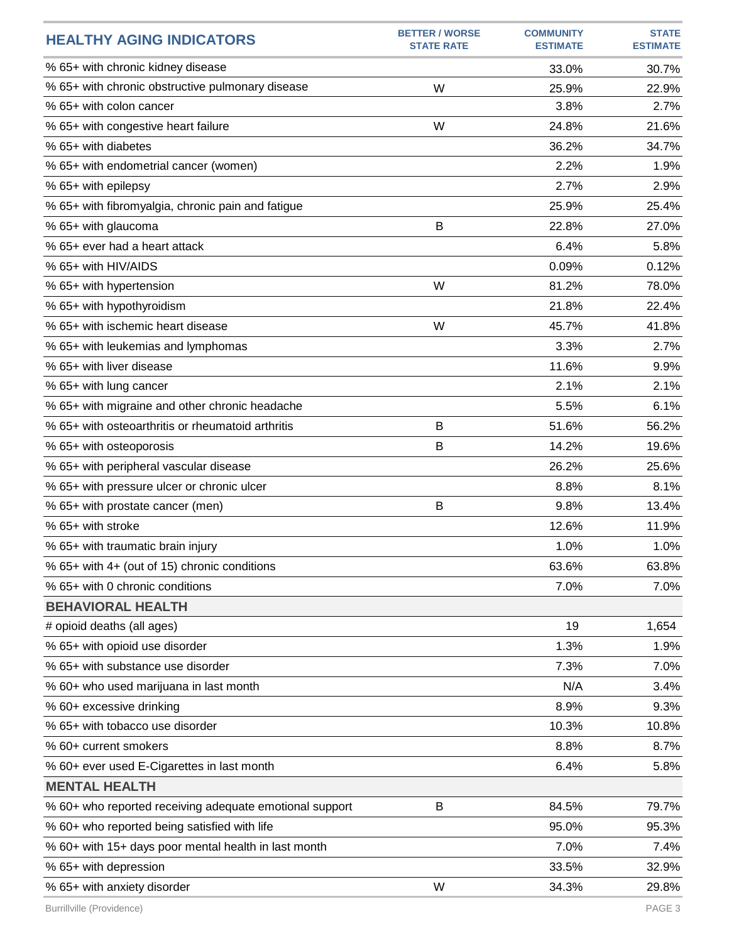| <b>HEALTHY AGING INDICATORS</b>                         | <b>BETTER / WORSE</b><br><b>STATE RATE</b> | <b>COMMUNITY</b><br><b>ESTIMATE</b> | <b>STATE</b><br><b>ESTIMATE</b> |
|---------------------------------------------------------|--------------------------------------------|-------------------------------------|---------------------------------|
| % 65+ with chronic kidney disease                       |                                            | 33.0%                               | 30.7%                           |
| % 65+ with chronic obstructive pulmonary disease        | W                                          | 25.9%                               | 22.9%                           |
| % 65+ with colon cancer                                 |                                            | 3.8%                                | 2.7%                            |
| % 65+ with congestive heart failure                     | W                                          | 24.8%                               | 21.6%                           |
| % 65+ with diabetes                                     |                                            | 36.2%                               | 34.7%                           |
| % 65+ with endometrial cancer (women)                   |                                            | 2.2%                                | 1.9%                            |
| % 65+ with epilepsy                                     |                                            | 2.7%                                | 2.9%                            |
| % 65+ with fibromyalgia, chronic pain and fatigue       |                                            | 25.9%                               | 25.4%                           |
| % 65+ with glaucoma                                     | B                                          | 22.8%                               | 27.0%                           |
| % 65+ ever had a heart attack                           |                                            | 6.4%                                | 5.8%                            |
| % 65+ with HIV/AIDS                                     |                                            | 0.09%                               | 0.12%                           |
| % 65+ with hypertension                                 | W                                          | 81.2%                               | 78.0%                           |
| % 65+ with hypothyroidism                               |                                            | 21.8%                               | 22.4%                           |
| % 65+ with ischemic heart disease                       | W                                          | 45.7%                               | 41.8%                           |
| % 65+ with leukemias and lymphomas                      |                                            | 3.3%                                | 2.7%                            |
| % 65+ with liver disease                                |                                            | 11.6%                               | 9.9%                            |
| % 65+ with lung cancer                                  |                                            | 2.1%                                | 2.1%                            |
| % 65+ with migraine and other chronic headache          |                                            | 5.5%                                | 6.1%                            |
| % 65+ with osteoarthritis or rheumatoid arthritis       | B                                          | 51.6%                               | 56.2%                           |
| % 65+ with osteoporosis                                 | B                                          | 14.2%                               | 19.6%                           |
| % 65+ with peripheral vascular disease                  |                                            | 26.2%                               | 25.6%                           |
| % 65+ with pressure ulcer or chronic ulcer              |                                            | 8.8%                                | 8.1%                            |
| % 65+ with prostate cancer (men)                        | B                                          | 9.8%                                | 13.4%                           |
| % 65+ with stroke                                       |                                            | 12.6%                               | 11.9%                           |
| % 65+ with traumatic brain injury                       |                                            | 1.0%                                | 1.0%                            |
| % 65+ with 4+ (out of 15) chronic conditions            |                                            | 63.6%                               | 63.8%                           |
| % 65+ with 0 chronic conditions                         |                                            | 7.0%                                | 7.0%                            |
| <b>BEHAVIORAL HEALTH</b>                                |                                            |                                     |                                 |
| # opioid deaths (all ages)                              |                                            | 19                                  | 1,654                           |
| % 65+ with opioid use disorder                          |                                            | 1.3%                                | 1.9%                            |
| % 65+ with substance use disorder                       |                                            | 7.3%                                | 7.0%                            |
| % 60+ who used marijuana in last month                  |                                            | N/A                                 | 3.4%                            |
| % 60+ excessive drinking                                |                                            | 8.9%                                | 9.3%                            |
| % 65+ with tobacco use disorder                         |                                            | 10.3%                               | 10.8%                           |
| % 60+ current smokers                                   |                                            | 8.8%                                | 8.7%                            |
| % 60+ ever used E-Cigarettes in last month              |                                            | 6.4%                                | 5.8%                            |
| <b>MENTAL HEALTH</b>                                    |                                            |                                     |                                 |
| % 60+ who reported receiving adequate emotional support | B                                          | 84.5%                               | 79.7%                           |
| % 60+ who reported being satisfied with life            |                                            | 95.0%                               | 95.3%                           |
| % 60+ with 15+ days poor mental health in last month    |                                            | 7.0%                                | 7.4%                            |
| % 65+ with depression                                   |                                            | 33.5%                               | 32.9%                           |
| % 65+ with anxiety disorder                             | W                                          | 34.3%                               | 29.8%                           |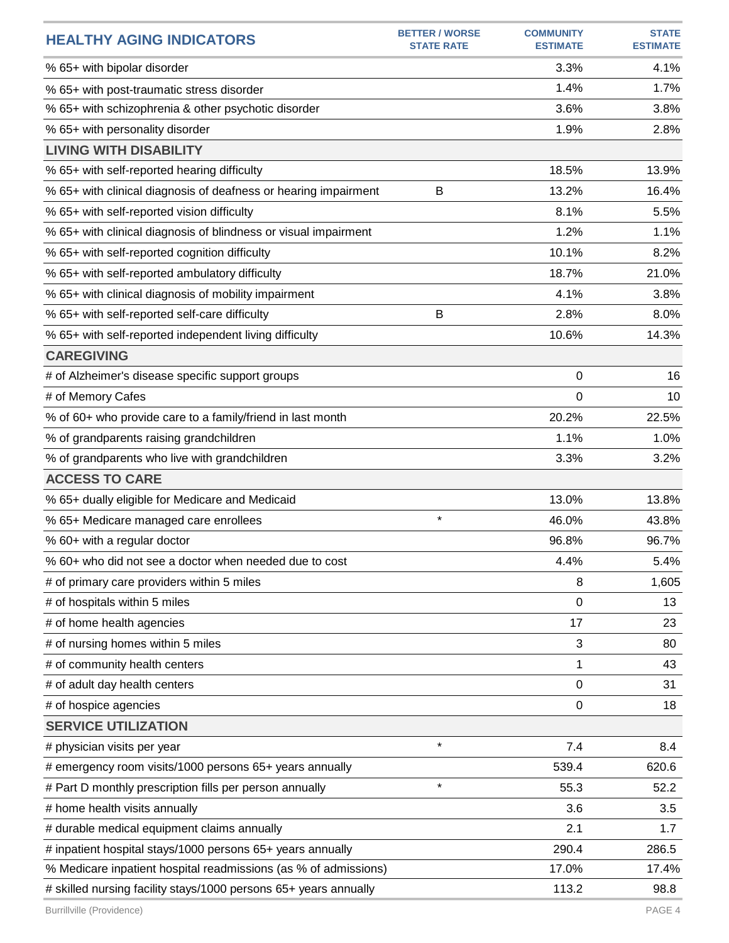| <b>HEALTHY AGING INDICATORS</b>                                  | <b>BETTER / WORSE</b><br><b>STATE RATE</b> | <b>COMMUNITY</b><br><b>ESTIMATE</b> | <b>STATE</b><br><b>ESTIMATE</b> |
|------------------------------------------------------------------|--------------------------------------------|-------------------------------------|---------------------------------|
| % 65+ with bipolar disorder                                      |                                            | 3.3%                                | 4.1%                            |
| % 65+ with post-traumatic stress disorder                        |                                            | 1.4%                                | 1.7%                            |
| % 65+ with schizophrenia & other psychotic disorder              |                                            | 3.6%                                | 3.8%                            |
| % 65+ with personality disorder                                  |                                            | 1.9%                                | 2.8%                            |
| <b>LIVING WITH DISABILITY</b>                                    |                                            |                                     |                                 |
| % 65+ with self-reported hearing difficulty                      |                                            | 18.5%                               | 13.9%                           |
| % 65+ with clinical diagnosis of deafness or hearing impairment  | B                                          | 13.2%                               | 16.4%                           |
| % 65+ with self-reported vision difficulty                       |                                            | 8.1%                                | 5.5%                            |
| % 65+ with clinical diagnosis of blindness or visual impairment  |                                            | 1.2%                                | 1.1%                            |
| % 65+ with self-reported cognition difficulty                    |                                            | 10.1%                               | 8.2%                            |
| % 65+ with self-reported ambulatory difficulty                   |                                            | 18.7%                               | 21.0%                           |
| % 65+ with clinical diagnosis of mobility impairment             |                                            | 4.1%                                | 3.8%                            |
| % 65+ with self-reported self-care difficulty                    | B                                          | 2.8%                                | 8.0%                            |
| % 65+ with self-reported independent living difficulty           |                                            | 10.6%                               | 14.3%                           |
| <b>CAREGIVING</b>                                                |                                            |                                     |                                 |
| # of Alzheimer's disease specific support groups                 |                                            | 0                                   | 16                              |
| # of Memory Cafes                                                |                                            | 0                                   | 10                              |
| % of 60+ who provide care to a family/friend in last month       |                                            | 20.2%                               | 22.5%                           |
| % of grandparents raising grandchildren                          |                                            | 1.1%                                | 1.0%                            |
| % of grandparents who live with grandchildren                    |                                            | 3.3%                                | 3.2%                            |
| <b>ACCESS TO CARE</b>                                            |                                            |                                     |                                 |
| % 65+ dually eligible for Medicare and Medicaid                  |                                            | 13.0%                               | 13.8%                           |
| % 65+ Medicare managed care enrollees                            | $\star$                                    | 46.0%                               | 43.8%                           |
| % 60+ with a regular doctor                                      |                                            | 96.8%                               | 96.7%                           |
| % 60+ who did not see a doctor when needed due to cost           |                                            | 4.4%                                | 5.4%                            |
| # of primary care providers within 5 miles                       |                                            | 8                                   | 1,605                           |
| # of hospitals within 5 miles                                    |                                            | 0                                   | 13                              |
| # of home health agencies                                        |                                            | 17                                  | 23                              |
| # of nursing homes within 5 miles                                |                                            | 3                                   | 80                              |
| # of community health centers                                    |                                            | 1                                   | 43                              |
| # of adult day health centers                                    |                                            | 0                                   | 31                              |
| # of hospice agencies                                            |                                            | $\mathbf 0$                         | 18                              |
| <b>SERVICE UTILIZATION</b>                                       |                                            |                                     |                                 |
| # physician visits per year                                      | $\star$                                    | 7.4                                 | 8.4                             |
| # emergency room visits/1000 persons 65+ years annually          |                                            | 539.4                               | 620.6                           |
| # Part D monthly prescription fills per person annually          | $\star$                                    | 55.3                                | 52.2                            |
| # home health visits annually                                    |                                            | 3.6                                 | 3.5                             |
| # durable medical equipment claims annually                      |                                            | 2.1                                 | 1.7                             |
| # inpatient hospital stays/1000 persons 65+ years annually       |                                            | 290.4                               | 286.5                           |
| % Medicare inpatient hospital readmissions (as % of admissions)  |                                            | 17.0%                               | 17.4%                           |
| # skilled nursing facility stays/1000 persons 65+ years annually |                                            | 113.2                               | 98.8                            |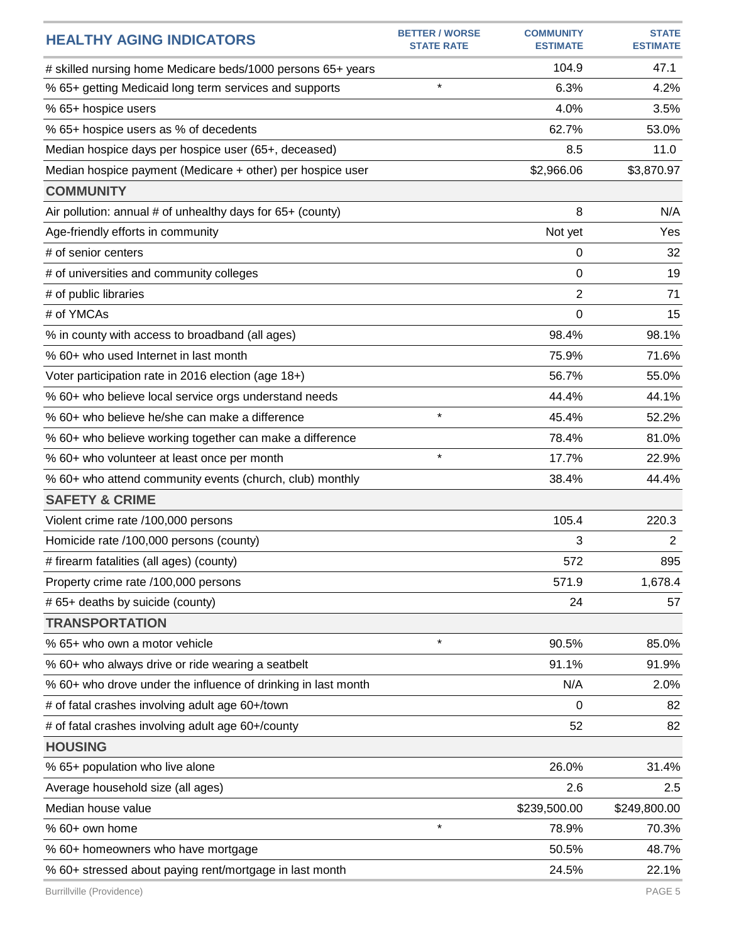| <b>HEALTHY AGING INDICATORS</b>                               | <b>BETTER / WORSE</b><br><b>STATE RATE</b> | <b>COMMUNITY</b><br><b>ESTIMATE</b> | <b>STATE</b><br><b>ESTIMATE</b> |
|---------------------------------------------------------------|--------------------------------------------|-------------------------------------|---------------------------------|
| # skilled nursing home Medicare beds/1000 persons 65+ years   |                                            | 104.9                               | 47.1                            |
| % 65+ getting Medicaid long term services and supports        | $\star$                                    | 6.3%                                | 4.2%                            |
| % 65+ hospice users                                           |                                            | 4.0%                                | 3.5%                            |
| % 65+ hospice users as % of decedents                         |                                            | 62.7%                               | 53.0%                           |
| Median hospice days per hospice user (65+, deceased)          |                                            | 8.5                                 | 11.0                            |
| Median hospice payment (Medicare + other) per hospice user    |                                            | \$2,966.06                          | \$3,870.97                      |
| <b>COMMUNITY</b>                                              |                                            |                                     |                                 |
| Air pollution: annual # of unhealthy days for 65+ (county)    |                                            | 8                                   | N/A                             |
| Age-friendly efforts in community                             |                                            | Not yet                             | Yes                             |
| # of senior centers                                           |                                            | 0                                   | 32                              |
| # of universities and community colleges                      |                                            | 0                                   | 19                              |
| # of public libraries                                         |                                            | 2                                   | 71                              |
| # of YMCAs                                                    |                                            | 0                                   | 15                              |
| % in county with access to broadband (all ages)               |                                            | 98.4%                               | 98.1%                           |
| % 60+ who used Internet in last month                         |                                            | 75.9%                               | 71.6%                           |
| Voter participation rate in 2016 election (age 18+)           |                                            | 56.7%                               | 55.0%                           |
| % 60+ who believe local service orgs understand needs         |                                            | 44.4%                               | 44.1%                           |
| % 60+ who believe he/she can make a difference                | $\star$                                    | 45.4%                               | 52.2%                           |
| % 60+ who believe working together can make a difference      |                                            | 78.4%                               | 81.0%                           |
| % 60+ who volunteer at least once per month                   | $\star$                                    | 17.7%                               | 22.9%                           |
| % 60+ who attend community events (church, club) monthly      |                                            | 38.4%                               | 44.4%                           |
| <b>SAFETY &amp; CRIME</b>                                     |                                            |                                     |                                 |
| Violent crime rate /100,000 persons                           |                                            | 105.4                               | 220.3                           |
| Homicide rate /100,000 persons (county)                       |                                            | 3                                   | $\overline{2}$                  |
| # firearm fatalities (all ages) (county)                      |                                            | 572                                 | 895                             |
| Property crime rate /100,000 persons                          |                                            | 571.9                               | 1,678.4                         |
| # 65+ deaths by suicide (county)                              |                                            | 24                                  | 57                              |
| <b>TRANSPORTATION</b>                                         |                                            |                                     |                                 |
| % 65+ who own a motor vehicle                                 | $\star$                                    | 90.5%                               | 85.0%                           |
| % 60+ who always drive or ride wearing a seatbelt             |                                            | 91.1%                               | 91.9%                           |
| % 60+ who drove under the influence of drinking in last month |                                            | N/A                                 | 2.0%                            |
| # of fatal crashes involving adult age 60+/town               |                                            | 0                                   | 82                              |
| # of fatal crashes involving adult age 60+/county             |                                            | 52                                  | 82                              |
| <b>HOUSING</b>                                                |                                            |                                     |                                 |
| % 65+ population who live alone                               |                                            | 26.0%                               | 31.4%                           |
| Average household size (all ages)                             |                                            | 2.6                                 | 2.5                             |
| Median house value                                            |                                            | \$239,500.00                        | \$249,800.00                    |
| % 60+ own home                                                | $\star$                                    | 78.9%                               | 70.3%                           |
| % 60+ homeowners who have mortgage                            |                                            | 50.5%                               | 48.7%                           |
| % 60+ stressed about paying rent/mortgage in last month       |                                            | 24.5%                               | 22.1%                           |